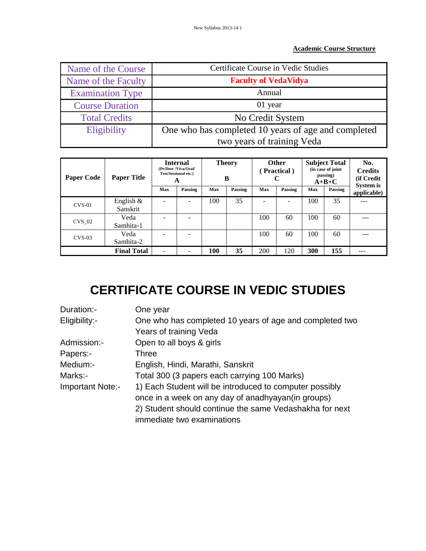## **Academic Course Structure**

| Name of the Course      | <b>Certificate Course in Vedic Studies</b>          |  |  |
|-------------------------|-----------------------------------------------------|--|--|
| Name of the Faculty     | <b>Faculty of VedaVidya</b>                         |  |  |
| <b>Examination Type</b> | Annual                                              |  |  |
| <b>Course Duration</b>  | 01 year                                             |  |  |
| <b>Total Credits</b>    | No Credit System                                    |  |  |
| Eligibility             | One who has completed 10 years of age and completed |  |  |
|                         | two years of training Veda                          |  |  |

| <b>Paper Code</b> | <b>Paper Title</b>       |     | <b>Internal</b><br>(Pr/Desr /Viva/Oral/<br>Test/Sessional etc.)<br>A |     | <b>Theory</b><br>B |     | <b>Other</b><br>(Practical) |     | <b>Subject Total</b><br>(in case of joint<br>passing)<br>$A+B+C$ | No.<br><b>Credits</b><br>(if Credit<br>System is |
|-------------------|--------------------------|-----|----------------------------------------------------------------------|-----|--------------------|-----|-----------------------------|-----|------------------------------------------------------------------|--------------------------------------------------|
|                   |                          | Max | Passing                                                              | Max | Passing            | Max | Passing                     | Max | Passing                                                          | applicable)                                      |
| $CVS-01$          | English $\&$<br>Sanskrit |     |                                                                      | 100 | 35                 |     | $\overline{\phantom{a}}$    | 100 | 35                                                               | ---                                              |
| <b>CVS 02</b>     | Veda<br>Samhita-1        |     |                                                                      |     |                    | 100 | 60                          | 100 | 60                                                               |                                                  |
| $CVS-03$          | Veda<br>Samhita-2        |     |                                                                      |     |                    | 100 | 60                          | 100 | 60                                                               |                                                  |
|                   | <b>Final Total</b>       |     |                                                                      | 100 | 35                 | 200 | 120                         | 300 | 155                                                              | ---                                              |

## **CERTIFICATE COURSE IN VEDIC STUDIES**

| Duration:-       | One year                                                |
|------------------|---------------------------------------------------------|
| Eligibility:-    | One who has completed 10 years of age and completed two |
|                  | Years of training Veda                                  |
| Admission:-      | Open to all boys & girls                                |
| Papers:-         | Three                                                   |
| Medium:-         | English, Hindi, Marathi, Sanskrit                       |
| Marks:-          | Total 300 (3 papers each carrying 100 Marks)            |
| Important Note:- | 1) Each Student will be introduced to computer possibly |
|                  | once in a week on any day of anadhyayan (in groups)     |
|                  | 2) Student should continue the same Vedashakha for next |
|                  | immediate two examinations                              |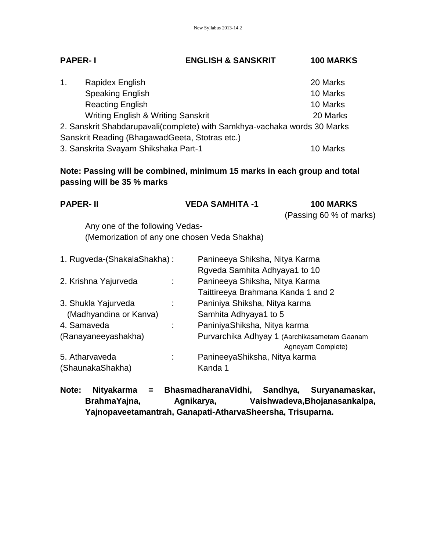| <b>PAPER-1</b> | <b>ENGLISH &amp; SANSKRIT</b> | <b>100 MARKS</b> |
|----------------|-------------------------------|------------------|
|                |                               |                  |

| 1 <sub>1</sub>                                                           | Rapidex English                                | 20 Marks |  |
|--------------------------------------------------------------------------|------------------------------------------------|----------|--|
|                                                                          | <b>Speaking English</b>                        | 10 Marks |  |
|                                                                          | <b>Reacting English</b>                        | 10 Marks |  |
|                                                                          | <b>Writing English &amp; Writing Sanskrit</b>  | 20 Marks |  |
| 2. Sanskrit Shabdarupavali(complete) with Samkhya-vachaka words 30 Marks |                                                |          |  |
|                                                                          | Sanskrit Reading (BhagawadGeeta, Stotras etc.) |          |  |
|                                                                          | 3. Sanskrita Svayam Shikshaka Part-1           | 10 Marks |  |

**Note: Passing will be combined, minimum 15 marks in each group and total passing will be 35 % marks**

| <b>PAPER-II</b>                              |  | <b>VEDA SAMHITA -1</b>             | <b>100 MARKS</b><br>(Passing 60 % of marks)  |
|----------------------------------------------|--|------------------------------------|----------------------------------------------|
| Any one of the following Vedas-              |  |                                    |                                              |
| (Memorization of any one chosen Veda Shakha) |  |                                    |                                              |
| 1. Rugveda-(ShakalaShakha):                  |  | Panineeya Shiksha, Nitya Karma     |                                              |
|                                              |  | Rgveda Samhita Adhyaya1 to 10      |                                              |
| 2. Krishna Yajurveda<br>÷                    |  | Panineeya Shiksha, Nitya Karma     |                                              |
|                                              |  | Taittireeya Brahmana Kanda 1 and 2 |                                              |
| 3. Shukla Yajurveda                          |  | Paniniya Shiksha, Nitya karma      |                                              |
| (Madhyandina or Kanva)                       |  | Samhita Adhyaya1 to 5              |                                              |
| 4. Samaveda<br>÷                             |  | PaniniyaShiksha, Nitya karma       |                                              |
| (Ranayaneeyashakha)                          |  |                                    | Purvarchika Adhyay 1 (Aarchikasametam Gaanam |
|                                              |  |                                    | Agneyam Complete)                            |
| 5. Atharvaveda                               |  | PanineeyaShiksha, Nitya karma      |                                              |
| (ShaunakaShakha)                             |  | Kanda 1                            |                                              |

**Note: Nityakarma = BhasmadharanaVidhi, Sandhya, Suryanamaskar, BrahmaYajna, Agnikarya, Vaishwadeva,Bhojanasankalpa, Yajnopaveetamantrah, Ganapati-AtharvaSheersha, Trisuparna.**